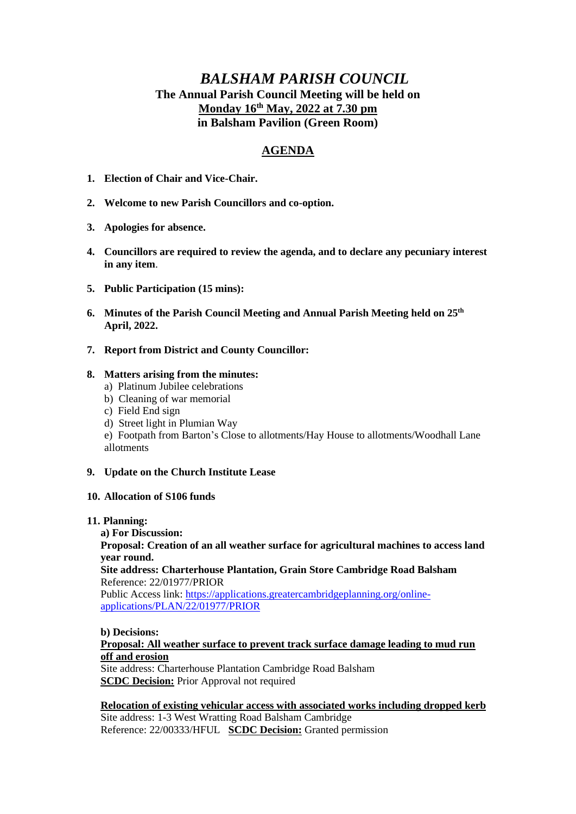# *BALSHAM PARISH COUNCIL* **The Annual Parish Council Meeting will be held on Monday 16th May, 2022 at 7.30 pm in Balsham Pavilion (Green Room)**

# **AGENDA**

- **1. Election of Chair and Vice-Chair.**
- **2. Welcome to new Parish Councillors and co-option.**
- **3. Apologies for absence.**
- **4. Councillors are required to review the agenda, and to declare any pecuniary interest in any item**.
- **5. Public Participation (15 mins):**
- **6. Minutes of the Parish Council Meeting and Annual Parish Meeting held on 25th April, 2022.**
- **7. Report from District and County Councillor:**

## **8. Matters arising from the minutes:**

- a) Platinum Jubilee celebrations
- b) Cleaning of war memorial
- c) Field End sign
- d) Street light in Plumian Way

e) Footpath from Barton's Close to allotments/Hay House to allotments/Woodhall Lane allotments

### **9. Update on the Church Institute Lease**

### **10. Allocation of S106 funds**

### **11. Planning:**

**a) For Discussion:**

**Proposal: Creation of an all weather surface for agricultural machines to access land year round.**

## **Site address: Charterhouse Plantation, Grain Store Cambridge Road Balsham** Reference: 22/01977/PRIOR

Public Access link[: https://applications.greatercambridgeplanning.org/online](https://applications.greatercambridgeplanning.org/online-applications/PLAN/22/01977/PRIOR)[applications/PLAN/22/01977/PRIOR](https://applications.greatercambridgeplanning.org/online-applications/PLAN/22/01977/PRIOR)

### **b) Decisions:**

# **Proposal: All weather surface to prevent track surface damage leading to mud run off and erosion**

Site address: Charterhouse Plantation Cambridge Road Balsham **SCDC Decision:** Prior Approval not required

## **Relocation of existing vehicular access with associated works including dropped kerb**

Site address: 1-3 West Wratting Road Balsham Cambridge Reference: 22/00333/HFUL **SCDC Decision:** Granted permission